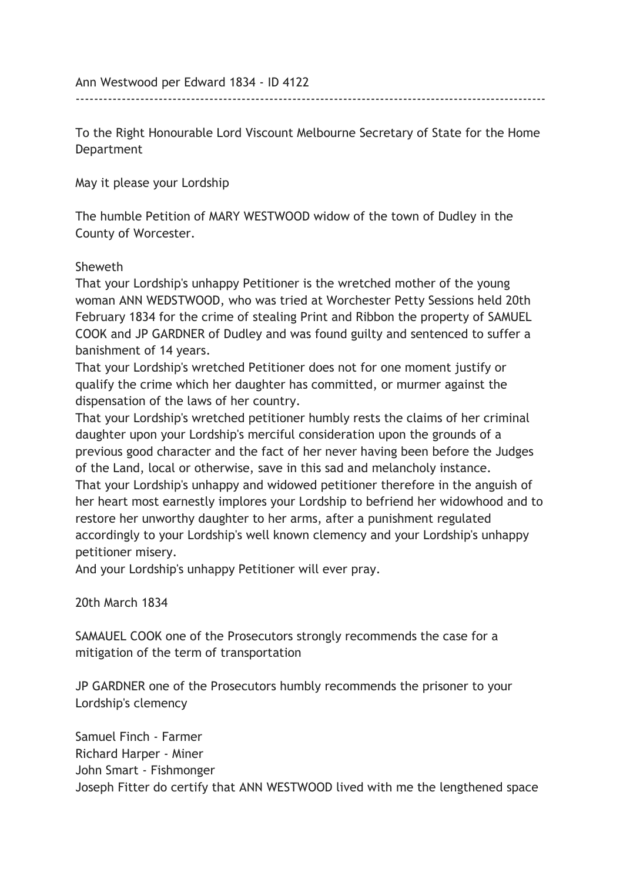Ann Westwood per Edward 1834 - ID 4122

To the Right Honourable Lord Viscount Melbourne Secretary of State for the Home Department

------------------------------------------------------------------------------------------------------

May it please your Lordship

The humble Petition of MARY WESTWOOD widow of the town of Dudley in the County of Worcester.

## Sheweth

That your Lordship's unhappy Petitioner is the wretched mother of the young woman ANN WEDSTWOOD, who was tried at Worchester Petty Sessions held 20th February 1834 for the crime of stealing Print and Ribbon the property of SAMUEL COOK and JP GARDNER of Dudley and was found guilty and sentenced to suffer a banishment of 14 years.

That your Lordship's wretched Petitioner does not for one moment justify or qualify the crime which her daughter has committed, or murmer against the dispensation of the laws of her country.

That your Lordship's wretched petitioner humbly rests the claims of her criminal daughter upon your Lordship's merciful consideration upon the grounds of a previous good character and the fact of her never having been before the Judges of the Land, local or otherwise, save in this sad and melancholy instance. That your Lordship's unhappy and widowed petitioner therefore in the anguish of her heart most earnestly implores your Lordship to befriend her widowhood and to restore her unworthy daughter to her arms, after a punishment regulated accordingly to your Lordship's well known clemency and your Lordship's unhappy petitioner misery.

And your Lordship's unhappy Petitioner will ever pray.

20th March 1834

SAMAUEL COOK one of the Prosecutors strongly recommends the case for a mitigation of the term of transportation

JP GARDNER one of the Prosecutors humbly recommends the prisoner to your Lordship's clemency

Samuel Finch - Farmer Richard Harper - Miner John Smart - Fishmonger Joseph Fitter do certify that ANN WESTWOOD lived with me the lengthened space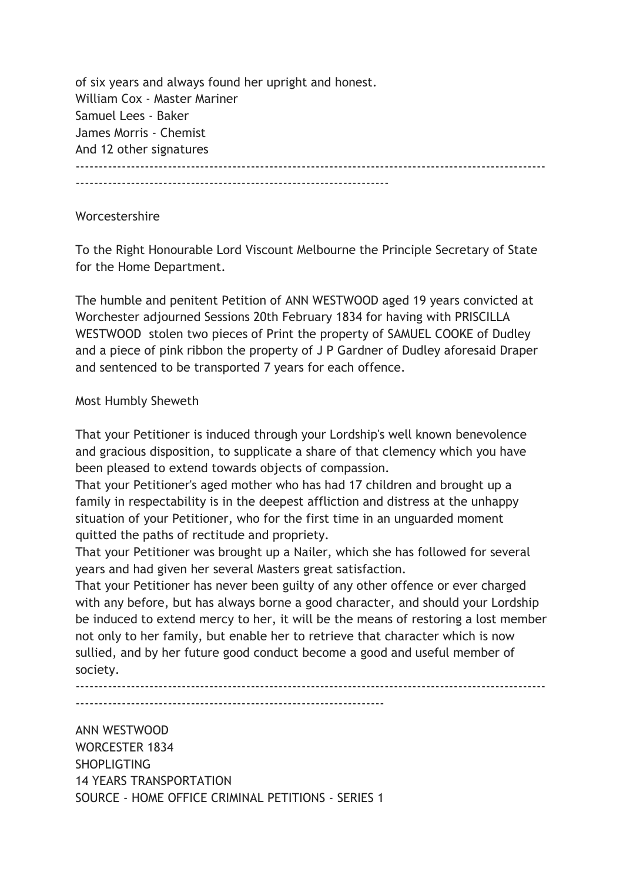of six years and always found her upright and honest. William Cox - Master Mariner Samuel Lees - Baker James Morris - Chemist And 12 other signatures ------------------------------------------------------------------------------------------------------ --------------------------------------------------------------------

## Worcestershire

To the Right Honourable Lord Viscount Melbourne the Principle Secretary of State for the Home Department.

The humble and penitent Petition of ANN WESTWOOD aged 19 years convicted at Worchester adjourned Sessions 20th February 1834 for having with PRISCILLA WESTWOOD stolen two pieces of Print the property of SAMUEL COOKE of Dudley and a piece of pink ribbon the property of J P Gardner of Dudley aforesaid Draper and sentenced to be transported 7 years for each offence.

## Most Humbly Sheweth

That your Petitioner is induced through your Lordship's well known benevolence and gracious disposition, to supplicate a share of that clemency which you have been pleased to extend towards objects of compassion.

That your Petitioner's aged mother who has had 17 children and brought up a family in respectability is in the deepest affliction and distress at the unhappy situation of your Petitioner, who for the first time in an unguarded moment quitted the paths of rectitude and propriety.

That your Petitioner was brought up a Nailer, which she has followed for several years and had given her several Masters great satisfaction.

That your Petitioner has never been guilty of any other offence or ever charged with any before, but has always borne a good character, and should your Lordship be induced to extend mercy to her, it will be the means of restoring a lost member not only to her family, but enable her to retrieve that character which is now sullied, and by her future good conduct become a good and useful member of society.

------------------------------------------------------------------------------------------------------

-------------------------------------------------------------------

ANN WESTWOOD WORCESTER 1834 **SHOPLIGTING** 14 YEARS TRANSPORTATION SOURCE - HOME OFFICE CRIMINAL PETITIONS - SERIES 1